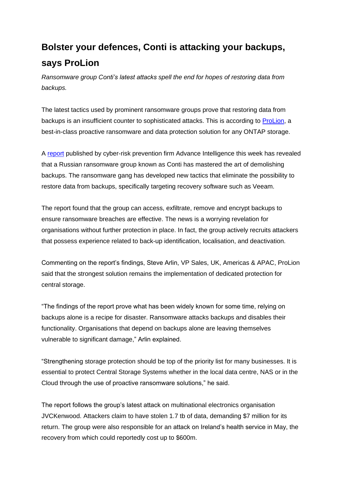## **Bolster your defences, Conti is attacking your backups, says ProLion**

*Ransomware group Conti's latest attacks spell the end for hopes of restoring data from backups.*

The latest tactics used by prominent ransomware groups prove that restoring data from backups is an insufficient counter to sophisticated attacks. This is according to [ProLion,](https://prolion.com/) a best-in-class proactive ransomware and data protection solution for any ONTAP storage.

A [report](https://www.advintel.io/post/backup-removal-solutions-from-conti-ransomware-with-love) published by cyber-risk prevention firm Advance Intelligence this week has revealed that a Russian ransomware group known as Conti has mastered the art of demolishing backups. The ransomware gang has developed new tactics that eliminate the possibility to restore data from backups, specifically targeting recovery software such as Veeam.

The report found that the group can access, exfiltrate, remove and encrypt backups to ensure ransomware breaches are effective. The news is a worrying revelation for organisations without further protection in place. In fact, the group actively recruits attackers that possess experience related to back-up identification, localisation, and deactivation.

Commenting on the report's findings, Steve Arlin, VP Sales, UK, Americas & APAC, ProLion said that the strongest solution remains the implementation of dedicated protection for central storage.

"The findings of the report prove what has been widely known for some time, relying on backups alone is a recipe for disaster. Ransomware attacks backups and disables their functionality. Organisations that depend on backups alone are leaving themselves vulnerable to significant damage," Arlin explained.

"Strengthening storage protection should be top of the priority list for many businesses. It is essential to protect Central Storage Systems whether in the local data centre, NAS or in the Cloud through the use of proactive ransomware solutions," he said.

The report follows the group's latest attack on multinational electronics organisation JVCKenwood. Attackers claim to have stolen 1.7 tb of data, demanding \$7 million for its return. The group were also responsible for an attack on Ireland's health service in May, the recovery from which could reportedly cost up to \$600m.